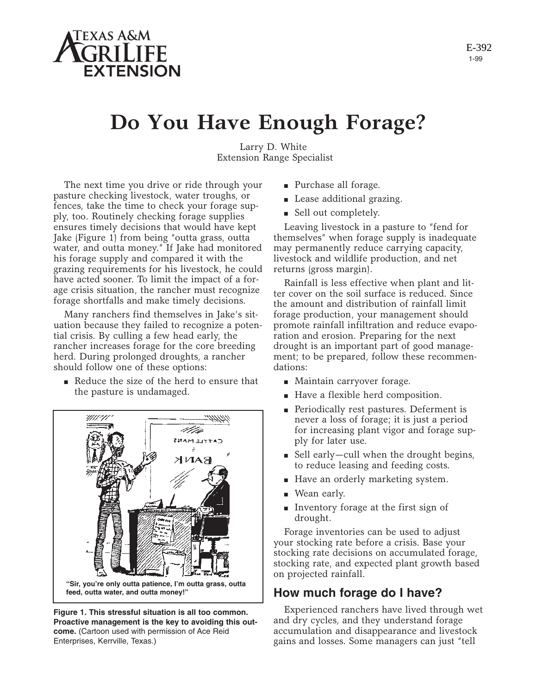

1-99 E-392

# **Do You Have Enough Forage?**

Larry D. White Extension Range Specialist

The next time you drive or ride through your pasture checking livestock, water troughs, or fences, take the time to check your forage supply, too. Routinely checking forage supplies ensures timely decisions that would have kept Jake (Figure 1) from being "outta grass, outta water, and outta money." If Jake had monitored his forage supply and compared it with the grazing requirements for his livestock, he could have acted sooner. To limit the impact of a forage crisis situation, the rancher must recognize forage shortfalls and make timely decisions.

Many ranchers find themselves in Jake's situation because they failed to recognize a potential crisis. By culling a few head early, the rancher increases forage for the core breeding herd. During prolonged droughts, a rancher should follow one of these options:

■ Reduce the size of the herd to ensure that the pasture is undamaged.



**Figure 1. This stressful situation is all too common. Proactive management is the key to avoiding this outcome.** (Cartoon used with permission of Ace Reid Enterprises, Kerrville, Texas.)

- Purchase all forage.
- Lease additional grazing.
- Sell out completely.

Leaving livestock in a pasture to "fend for themselves" when forage supply is inadequate may permanently reduce carrying capacity, livestock and wildlife production, and net returns (gross margin).

Rainfall is less effective when plant and litter cover on the soil surface is reduced. Since the amount and distribution of rainfall limit forage production, your management should promote rainfall infiltration and reduce evaporation and erosion. Preparing for the next drought is an important part of good management; to be prepared, follow these recommendations:

- Maintain carryover forage.
- Have a flexible herd composition.
- Periodically rest pastures. Deferment is never a loss of forage; it is just a period for increasing plant vigor and forage supply for later use.
- Sell early—cull when the drought begins, to reduce leasing and feeding costs.
- Have an orderly marketing system.
- Wean early.
- Inventory forage at the first sign of drought.

Forage inventories can be used to adjust your stocking rate before a crisis. Base your stocking rate decisions on accumulated forage, stocking rate, and expected plant growth based on projected rainfall.

## **How much forage do I have?**

Experienced ranchers have lived through wet and dry cycles, and they understand forage accumulation and disappearance and livestock gains and losses. Some managers can just "tell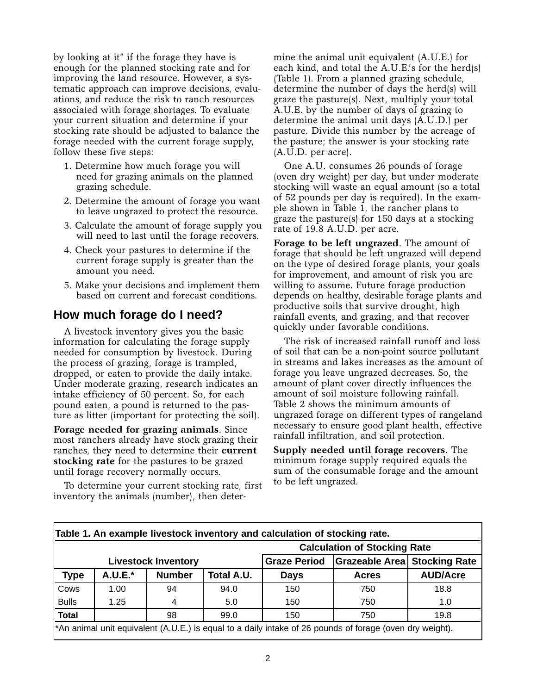by looking at it" if the forage they have is enough for the planned stocking rate and for improving the land resource. However, a systematic approach can improve decisions, evaluations, and reduce the risk to ranch resources associated with forage shortages. To evaluate your current situation and determine if your stocking rate should be adjusted to balance the forage needed with the current forage supply, follow these five steps:

- 1. Determine how much forage you will need for grazing animals on the planned grazing schedule.
- 2. Determine the amount of forage you want to leave ungrazed to protect the resource.
- 3. Calculate the amount of forage supply you will need to last until the forage recovers.
- 4. Check your pastures to determine if the current forage supply is greater than the amount you need.
- 5. Make your decisions and implement them based on current and forecast conditions.

## **How much forage do I need?**

A livestock inventory gives you the basic information for calculating the forage supply needed for consumption by livestock. During the process of grazing, forage is trampled, dropped, or eaten to provide the daily intake. Under moderate grazing, research indicates an intake efficiency of 50 percent. So, for each pound eaten, a pound is returned to the pasture as litter (important for protecting the soil).

**Forage needed for grazing animals**. Since most ranchers already have stock grazing their ranches, they need to determine their **current stocking rate** for the pastures to be grazed until forage recovery normally occurs.

To determine your current stocking rate, first inventory the animals (number), then deter-

mine the animal unit equivalent (A.U.E.) for each kind, and total the A.U.E.'s for the herd(s) (Table 1). From a planned grazing schedule, determine the number of days the herd(s) will graze the pasture(s). Next, multiply your total A.U.E. by the number of days of grazing to determine the animal unit days (A.U.D.) per pasture. Divide this number by the acreage of the pasture; the answer is your stocking rate (A.U.D. per acre).

One A.U. consumes 26 pounds of forage (oven dry weight) per day, but under moderate stocking will waste an equal amount (so a total of 52 pounds per day is required). In the example shown in Table 1, the rancher plans to graze the pasture(s) for 150 days at a stocking rate of 19.8 A.U.D. per acre.

**Forage to be left ungrazed**. The amount of forage that should be left ungrazed will depend on the type of desired forage plants, your goals for improvement, and amount of risk you are willing to assume. Future forage production depends on healthy, desirable forage plants and productive soils that survive drought, high rainfall events, and grazing, and that recover quickly under favorable conditions.

The risk of increased rainfall runoff and loss of soil that can be a non-point source pollutant in streams and lakes increases as the amount of forage you leave ungrazed decreases. So, the amount of plant cover directly influences the amount of soil moisture following rainfall. Table 2 shows the minimum amounts of ungrazed forage on different types of rangeland necessary to ensure good plant health, effective rainfall infiltration, and soil protection.

**Supply needed until forage recovers**. The minimum forage supply required equals the sum of the consumable forage and the amount to be left ungrazed.

|                                                                                                          |           |               |            | <b>Calculation of Stocking Rate</b> |                                     |                 |  |
|----------------------------------------------------------------------------------------------------------|-----------|---------------|------------|-------------------------------------|-------------------------------------|-----------------|--|
| <b>Livestock Inventory</b>                                                                               |           |               |            | <b>Graze Period</b>                 | <b>Grazeable Area Stocking Rate</b> |                 |  |
| <b>Type</b>                                                                                              | $A.U.E.*$ | <b>Number</b> | Total A.U. | <b>Days</b>                         | <b>Acres</b>                        | <b>AUD/Acre</b> |  |
| Cows                                                                                                     | 1.00      | 94            | 94.0       | 150                                 | 750                                 | 18.8            |  |
| <b>Bulls</b>                                                                                             | 1.25      | 4             | 5.0        | 150                                 | 750                                 | 1.0             |  |
| <b>Total</b>                                                                                             |           | 98            | 99.0       | 150                                 | 750                                 | 19.8            |  |
| *An animal unit equivalent (A.U.E.) is equal to a daily intake of 26 pounds of forage (oven dry weight). |           |               |            |                                     |                                     |                 |  |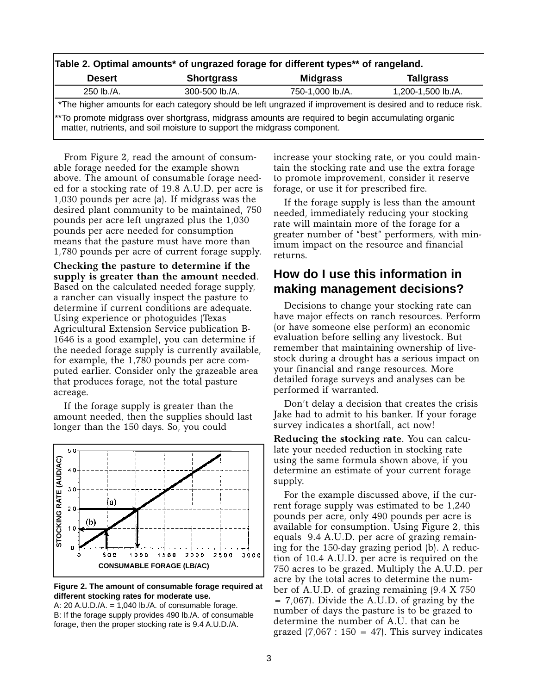| Table 2. Optimal amounts* of ungrazed forage for different types** of rangeland.                                                                                              |                   |                  |                    |  |  |  |  |  |
|-------------------------------------------------------------------------------------------------------------------------------------------------------------------------------|-------------------|------------------|--------------------|--|--|--|--|--|
| <b>Desert</b>                                                                                                                                                                 | <b>Shortgrass</b> | <b>Midgrass</b>  | <b>Tallgrass</b>   |  |  |  |  |  |
| 250 lb./A.                                                                                                                                                                    | 300-500 lb./A.    | 750-1,000 lb./A. | 1,200-1,500 lb./A. |  |  |  |  |  |
| *The higher amounts for each category should be left ungrazed if improvement is desired and to reduce risk.                                                                   |                   |                  |                    |  |  |  |  |  |
| **To promote midgrass over shortgrass, midgrass amounts are required to begin accumulating organic<br>matter, nutrients, and soil moisture to support the midgrass component. |                   |                  |                    |  |  |  |  |  |

From Figure 2, read the amount of consumable forage needed for the example shown above. The amount of consumable forage needed for a stocking rate of 19.8 A.U.D. per acre is 1,030 pounds per acre (a). If midgrass was the desired plant community to be maintained, 750 pounds per acre left ungrazed plus the 1,030 pounds per acre needed for consumption means that the pasture must have more than 1,780 pounds per acre of current forage supply.

**Checking the pasture to determine if the supply is greater than the amount needed**. Based on the calculated needed forage supply, a rancher can visually inspect the pasture to determine if current conditions are adequate. Using experience or photoguides (Texas Agricultural Extension Service publication B-1646 is a good example), you can determine if the needed forage supply is currently available, for example, the 1,780 pounds per acre computed earlier. Consider only the grazeable area that produces forage, not the total pasture acreage.

If the forage supply is greater than the amount needed, then the supplies should last longer than the 150 days. So, you could



#### **Figure 2. The amount of consumable forage required at different stocking rates for moderate use.**

A:  $20$  A.U.D./A. = 1,040 lb./A. of consumable forage. B: If the forage supply provides 490 lb./A. of consumable forage, then the proper stocking rate is 9.4 A.U.D./A.

increase your stocking rate, or you could maintain the stocking rate and use the extra forage to promote improvement, consider it reserve forage, or use it for prescribed fire.

If the forage supply is less than the amount needed, immediately reducing your stocking rate will maintain more of the forage for a greater number of "best" performers, with minimum impact on the resource and financial returns.

## **How do I use this information in making management decisions?**

Decisions to change your stocking rate can have major effects on ranch resources. Perform (or have someone else perform) an economic evaluation before selling any livestock. But remember that maintaining ownership of livestock during a drought has a serious impact on your financial and range resources. More detailed forage surveys and analyses can be performed if warranted.

Don't delay a decision that creates the crisis Jake had to admit to his banker. If your forage survey indicates a shortfall, act now!

**Reducing the stocking rate**. You can calculate your needed reduction in stocking rate using the same formula shown above, if you determine an estimate of your current forage supply.

For the example discussed above, if the current forage supply was estimated to be 1,240 pounds per acre, only 490 pounds per acre is available for consumption. Using Figure 2, this equals 9.4 A.U.D. per acre of grazing remaining for the 150-day grazing period (b). A reduction of 10.4 A.U.D. per acre is required on the 750 acres to be grazed. Multiply the A.U.D. per acre by the total acres to determine the number of A.U.D. of grazing remaining (9.4 X 750 = 7,067). Divide the A.U.D. of grazing by the number of days the pasture is to be grazed to determine the number of A.U. that can be grazed  $(7,067 : 150 = 47)$ . This survey indicates